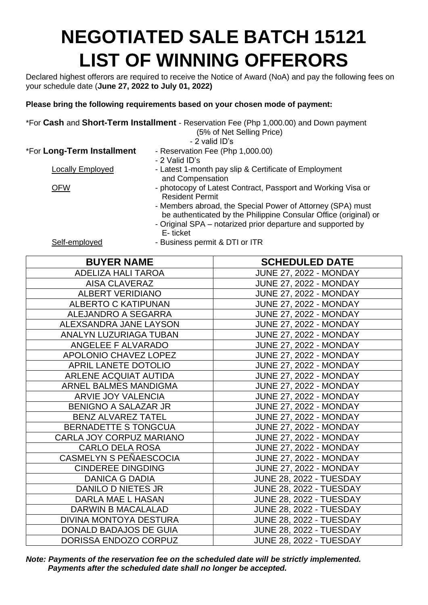## **NEGOTIATED SALE BATCH 15121 LIST OF WINNING OFFERORS**

Declared highest offerors are required to receive the Notice of Award (NoA) and pay the following fees on your schedule date (**June 27, 2022 to July 01, 2022)**

## **Please bring the following requirements based on your chosen mode of payment:**

|                            | *For Cash and Short-Term Installment - Reservation Fee (Php 1,000.00) and Down payment                                                                                                                    |
|----------------------------|-----------------------------------------------------------------------------------------------------------------------------------------------------------------------------------------------------------|
|                            | (5% of Net Selling Price)                                                                                                                                                                                 |
|                            | - 2 valid ID's                                                                                                                                                                                            |
| *For Long-Term Installment | - Reservation Fee (Php 1,000.00)                                                                                                                                                                          |
|                            | - 2 Valid ID's                                                                                                                                                                                            |
| Locally Employed           | - Latest 1-month pay slip & Certificate of Employment<br>and Compensation                                                                                                                                 |
| <b>OFW</b>                 | - photocopy of Latest Contract, Passport and Working Visa or<br><b>Resident Permit</b>                                                                                                                    |
|                            | - Members abroad, the Special Power of Attorney (SPA) must<br>be authenticated by the Philippine Consular Office (original) or<br>- Original SPA - notarized prior departure and supported by<br>E-ticket |
| Self-employed              | - Business permit & DTI or ITR                                                                                                                                                                            |

| <b>BUYER NAME</b>             | <b>SCHEDULED DATE</b>          |
|-------------------------------|--------------------------------|
| <b>ADELIZA HALI TAROA</b>     | <b>JUNE 27, 2022 - MONDAY</b>  |
| AISA CLAVERAZ                 | <b>JUNE 27, 2022 - MONDAY</b>  |
| <b>ALBERT VERIDIANO</b>       | <b>JUNE 27, 2022 - MONDAY</b>  |
| <b>ALBERTO C KATIPUNAN</b>    | <b>JUNE 27, 2022 - MONDAY</b>  |
| ALEJANDRO A SEGARRA           | <b>JUNE 27, 2022 - MONDAY</b>  |
| ALEXSANDRA JANE LAYSON        | <b>JUNE 27, 2022 - MONDAY</b>  |
| <b>ANALYN LUZURIAGA TUBAN</b> | <b>JUNE 27, 2022 - MONDAY</b>  |
| ANGELEE F ALVARADO            | <b>JUNE 27, 2022 - MONDAY</b>  |
| APOLONIO CHAVEZ LOPEZ         | <b>JUNE 27, 2022 - MONDAY</b>  |
| APRIL LANETE DOTOLIO          | <b>JUNE 27, 2022 - MONDAY</b>  |
| <b>ARLENE ACQUIAT AUTIDA</b>  | <b>JUNE 27, 2022 - MONDAY</b>  |
| ARNEL BALMES MANDIGMA         | <b>JUNE 27, 2022 - MONDAY</b>  |
| <b>ARVIE JOY VALENCIA</b>     | <b>JUNE 27, 2022 - MONDAY</b>  |
| <b>BENIGNO A SALAZAR JR</b>   | <b>JUNE 27, 2022 - MONDAY</b>  |
| <b>BENZ ALVAREZ TATEL</b>     | <b>JUNE 27, 2022 - MONDAY</b>  |
| <b>BERNADETTE S TONGCUA</b>   | <b>JUNE 27, 2022 - MONDAY</b>  |
| CARLA JOY CORPUZ MARIANO      | <b>JUNE 27, 2022 - MONDAY</b>  |
| <b>CARLO DELA ROSA</b>        | <b>JUNE 27, 2022 - MONDAY</b>  |
| CASMELYN S PEÑAESCOCIA        | <b>JUNE 27, 2022 - MONDAY</b>  |
| <b>CINDEREE DINGDING</b>      | <b>JUNE 27, 2022 - MONDAY</b>  |
| <b>DANICA G DADIA</b>         | <b>JUNE 28, 2022 - TUESDAY</b> |
| <b>DANILO D NIETES JR</b>     | <b>JUNE 28, 2022 - TUESDAY</b> |
| <b>DARLA MAE L HASAN</b>      | <b>JUNE 28, 2022 - TUESDAY</b> |
| <b>DARWIN B MACALALAD</b>     | <b>JUNE 28, 2022 - TUESDAY</b> |
| DIVINA MONTOYA DESTURA        | <b>JUNE 28, 2022 - TUESDAY</b> |
| DONALD BADAJOS DE GUIA        | <b>JUNE 28, 2022 - TUESDAY</b> |
| DORISSA ENDOZO CORPUZ         | <b>JUNE 28, 2022 - TUESDAY</b> |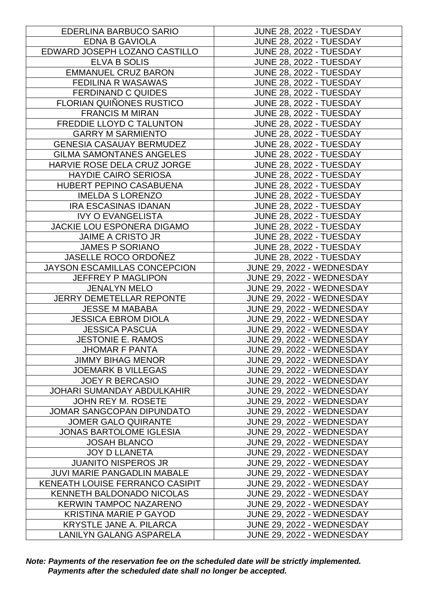| EDERLINA BARBUCO SARIO             | <b>JUNE 28, 2022 - TUESDAY</b>   |
|------------------------------------|----------------------------------|
| <b>EDNA B GAVIOLA</b>              | <b>JUNE 28, 2022 - TUESDAY</b>   |
| EDWARD JOSEPH LOZANO CASTILLO      | <b>JUNE 28, 2022 - TUESDAY</b>   |
| ELVA B SOLIS                       | <b>JUNE 28, 2022 - TUESDAY</b>   |
| <b>EMMANUEL CRUZ BARON</b>         | <b>JUNE 28, 2022 - TUESDAY</b>   |
| <b>FEDILINA R WASAWAS</b>          | <b>JUNE 28, 2022 - TUESDAY</b>   |
| <b>FERDINAND C QUIDES</b>          | <b>JUNE 28, 2022 - TUESDAY</b>   |
| <b>FLORIAN QUIÑONES RUSTICO</b>    | <b>JUNE 28, 2022 - TUESDAY</b>   |
| <b>FRANCIS M MIRAN</b>             | <b>JUNE 28, 2022 - TUESDAY</b>   |
| FREDDIE LLOYD C TALUNTON           | <b>JUNE 28, 2022 - TUESDAY</b>   |
| <b>GARRY M SARMIENTO</b>           | <b>JUNE 28, 2022 - TUESDAY</b>   |
| <b>GENESIA CASAUAY BERMUDEZ</b>    | <b>JUNE 28, 2022 - TUESDAY</b>   |
| <b>GILMA SAMONTANES ANGELES</b>    | <b>JUNE 28, 2022 - TUESDAY</b>   |
| HARVIE ROSE DELA CRUZ JORGE        | <b>JUNE 28, 2022 - TUESDAY</b>   |
| <b>HAYDIE CAIRO SERIOSA</b>        | <b>JUNE 28, 2022 - TUESDAY</b>   |
| HUBERT PEPINO CASABUENA            | JUNE 28, 2022 - TUESDAY          |
| <b>IMELDA S LORENZO</b>            | <b>JUNE 28, 2022 - TUESDAY</b>   |
| <b>IRA ESCASINAS IDANAN</b>        | <b>JUNE 28, 2022 - TUESDAY</b>   |
| <b>IVY O EVANGELISTA</b>           | <b>JUNE 28, 2022 - TUESDAY</b>   |
| <b>JACKIE LOU ESPONERA DIGAMO</b>  | <b>JUNE 28, 2022 - TUESDAY</b>   |
| <b>JAIME A CRISTO JR</b>           | <b>JUNE 28, 2022 - TUESDAY</b>   |
| <b>JAMES P SORIANO</b>             | <b>JUNE 28, 2022 - TUESDAY</b>   |
| JASELLE ROCO ORDOÑEZ               | <b>JUNE 28, 2022 - TUESDAY</b>   |
| JAYSON ESCAMILLAS CONCEPCION       | JUNE 29, 2022 - WEDNESDAY        |
| <b>JEFFREY P MAGLIPON</b>          | JUNE 29, 2022 - WEDNESDAY        |
| <b>JENALYN MELO</b>                | JUNE 29, 2022 - WEDNESDAY        |
| <b>JERRY DEMETELLAR REPONTE</b>    | JUNE 29, 2022 - WEDNESDAY        |
| <b>JESSE M MABABA</b>              | JUNE 29, 2022 - WEDNESDAY        |
| <b>JESSICA EBROM DIOLA</b>         | JUNE 29, 2022 - WEDNESDAY        |
| <b>JESSICA PASCUA</b>              | JUNE 29, 2022 - WEDNESDAY        |
| <b>JESTONIE E. RAMOS</b>           | JUNE 29, 2022 - WEDNESDAY        |
| <b>JHOMAR F PANTA</b>              | JUNE 29, 2022 - WEDNESDAY        |
| <b>JIMMY BIHAG MENOR</b>           | JUNE 29, 2022 - WEDNESDAY        |
| <b>JOEMARK B VILLEGAS</b>          | JUNE 29, 2022 - WEDNESDAY        |
| <b>JOEY R BERCASIO</b>             | <b>JUNE 29, 2022 - WEDNESDAY</b> |
| <b>JOHARI SUMANDAY ABDULKAHIR</b>  | JUNE 29, 2022 - WEDNESDAY        |
| <b>JOHN REY M. ROSETE</b>          | JUNE 29, 2022 - WEDNESDAY        |
| <b>JOMAR SANGCOPAN DIPUNDATO</b>   | JUNE 29, 2022 - WEDNESDAY        |
| <b>JOMER GALO QUIRANTE</b>         | JUNE 29, 2022 - WEDNESDAY        |
| JONAS BARTOLOME IGLESIA            | JUNE 29, 2022 - WEDNESDAY        |
| <b>JOSAH BLANCO</b>                | JUNE 29, 2022 - WEDNESDAY        |
| <b>JOY D LLANETA</b>               | JUNE 29, 2022 - WEDNESDAY        |
| <b>JUANITO NISPEROS JR</b>         | JUNE 29, 2022 - WEDNESDAY        |
| <b>JUVI MARIE PANGADLIN MABALE</b> | JUNE 29, 2022 - WEDNESDAY        |
| KENEATH LOUISE FERRANCO CASIPIT    | JUNE 29, 2022 - WEDNESDAY        |
| <b>KENNETH BALDONADO NICOLAS</b>   | JUNE 29, 2022 - WEDNESDAY        |
| <b>KERWIN TAMPOC NAZARENO</b>      | JUNE 29, 2022 - WEDNESDAY        |
| <b>KRISTINA MARIE P GAYOD</b>      | JUNE 29, 2022 - WEDNESDAY        |
| <b>KRYSTLE JANE A. PILARCA</b>     | JUNE 29, 2022 - WEDNESDAY        |
| LANILYN GALANG ASPARELA            | JUNE 29, 2022 - WEDNESDAY        |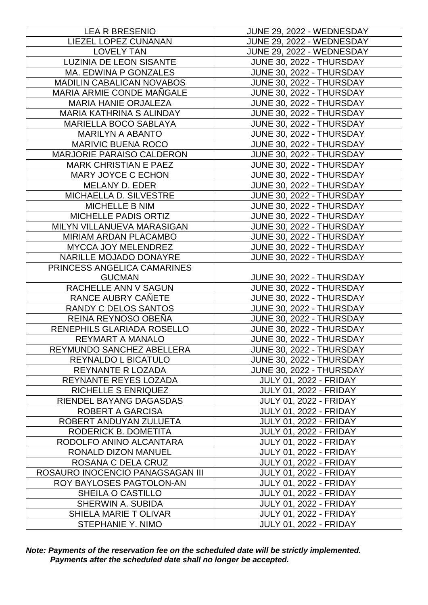| <b>LEA R BRESENIO</b>            | JUNE 29, 2022 - WEDNESDAY       |
|----------------------------------|---------------------------------|
| LIEZEL LOPEZ CUNANAN             | JUNE 29, 2022 - WEDNESDAY       |
| <b>LOVELY TAN</b>                | JUNE 29, 2022 - WEDNESDAY       |
| <b>LUZINIA DE LEON SISANTE</b>   | <b>JUNE 30, 2022 - THURSDAY</b> |
| MA. EDWINA P GONZALES            | <b>JUNE 30, 2022 - THURSDAY</b> |
| <b>MADILIN CABALICAN NOVABOS</b> | JUNE 30, 2022 - THURSDAY        |
| <b>MARIA ARMIE CONDE MAÑGALE</b> | JUNE 30, 2022 - THURSDAY        |
| <b>MARIA HANIE ORJALEZA</b>      | JUNE 30, 2022 - THURSDAY        |
| <b>MARIA KATHRINA S ALINDAY</b>  | JUNE 30, 2022 - THURSDAY        |
| MARIELLA BOCO SABLAYA            | <b>JUNE 30, 2022 - THURSDAY</b> |
| <b>MARILYN A ABANTO</b>          | JUNE 30, 2022 - THURSDAY        |
| <b>MARIVIC BUENA ROCO</b>        | <b>JUNE 30, 2022 - THURSDAY</b> |
| MARJORIE PARAISO CALDERON        | <b>JUNE 30, 2022 - THURSDAY</b> |
| <b>MARK CHRISTIAN E PAEZ</b>     | <b>JUNE 30, 2022 - THURSDAY</b> |
| <b>MARY JOYCE C ECHON</b>        | <b>JUNE 30, 2022 - THURSDAY</b> |
| MELANY D. EDER                   | JUNE 30, 2022 - THURSDAY        |
| MICHAELLA D. SILVESTRE           | <b>JUNE 30, 2022 - THURSDAY</b> |
| MICHELLE B NIM                   | JUNE 30, 2022 - THURSDAY        |
| <b>MICHELLE PADIS ORTIZ</b>      | <b>JUNE 30, 2022 - THURSDAY</b> |
| MILYN VILLANUEVA MARASIGAN       | <b>JUNE 30, 2022 - THURSDAY</b> |
| MIRIAM ARDAN PLACAMBO            | JUNE 30, 2022 - THURSDAY        |
| MYCCA JOY MELENDREZ              | <b>JUNE 30, 2022 - THURSDAY</b> |
| NARILLE MOJADO DONAYRE           | JUNE 30, 2022 - THURSDAY        |
| PRINCESS ANGELICA CAMARINES      |                                 |
| <b>GUCMAN</b>                    | <b>JUNE 30, 2022 - THURSDAY</b> |
| RACHELLE ANN V SAGUN             | JUNE 30, 2022 - THURSDAY        |
| RANCE AUBRY CANETE               | JUNE 30, 2022 - THURSDAY        |
| RANDY C DELOS SANTOS             | JUNE 30, 2022 - THURSDAY        |
| REINA REYNOSO OBEÑA              | JUNE 30, 2022 - THURSDAY        |
| RENEPHILS GLARIADA ROSELLO       | JUNE 30, 2022 - THURSDAY        |
| <b>REYMART A MANALO</b>          | JUNE 30, 2022 - THURSDAY        |
| REYMUNDO SANCHEZ ABELLERA        | JUNE 30, 2022 - THURSDAY        |
| REYNALDO L BICATULO              | <b>JUNE 30, 2022 - THURSDAY</b> |
| <b>REYNANTE R LOZADA</b>         | <b>JUNE 30, 2022 - THURSDAY</b> |
| REYNANTE REYES LOZADA            | <b>JULY 01, 2022 - FRIDAY</b>   |
| <b>RICHELLE S ENRIQUEZ</b>       | <b>JULY 01, 2022 - FRIDAY</b>   |
| RIENDEL BAYANG DAGASDAS          | <b>JULY 01, 2022 - FRIDAY</b>   |
| <b>ROBERT A GARCISA</b>          | <b>JULY 01, 2022 - FRIDAY</b>   |
| ROBERT ANDUYAN ZULUETA           | <b>JULY 01, 2022 - FRIDAY</b>   |
| RODERICK B. DOMETITA             | <b>JULY 01, 2022 - FRIDAY</b>   |
| RODOLFO ANINO ALCANTARA          | <b>JULY 01, 2022 - FRIDAY</b>   |
| RONALD DIZON MANUEL              | <b>JULY 01, 2022 - FRIDAY</b>   |
| ROSANA C DELA CRUZ               | <b>JULY 01, 2022 - FRIDAY</b>   |
| ROSAURO INOCENCIO PANAGSAGAN III | <b>JULY 01, 2022 - FRIDAY</b>   |
| ROY BAYLOSES PAGTOLON-AN         | <b>JULY 01, 2022 - FRIDAY</b>   |
| SHEILA O CASTILLO                | <b>JULY 01, 2022 - FRIDAY</b>   |
| <b>SHERWIN A. SUBIDA</b>         | <b>JULY 01, 2022 - FRIDAY</b>   |
| SHIELA MARIE TOLIVAR             | <b>JULY 01, 2022 - FRIDAY</b>   |
| STEPHANIE Y. NIMO                | <b>JULY 01, 2022 - FRIDAY</b>   |
|                                  |                                 |